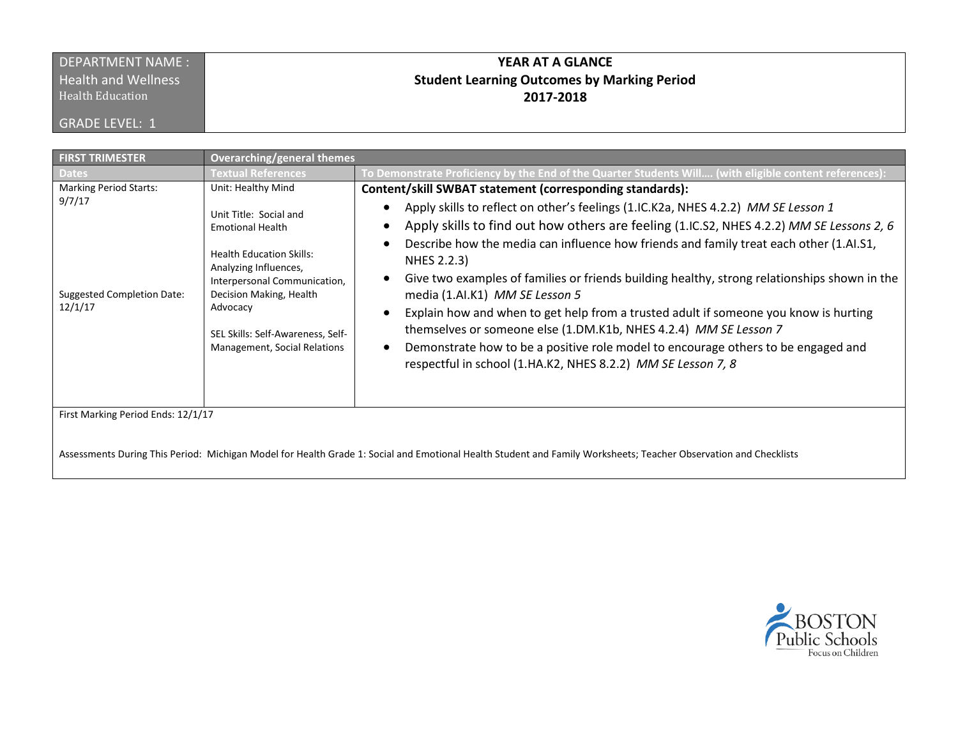## DEPARTMENT NAME : **Health and Wellness**

Health Education

GRADE LEVEL: 1

# **YEAR AT A GLANCE Student Learning Outcomes by Marking Period 2017-2018**

| <b>FIRST TRIMESTER</b>                                                                                                                                           | <b>Overarching/general themes</b>                                                                                                                                                                                                                                               |                                                                                                                                                                                                                                                                                                                                                                                                                                                                                                                                                                                                                                                                                                                                                                                                                    |  |  |
|------------------------------------------------------------------------------------------------------------------------------------------------------------------|---------------------------------------------------------------------------------------------------------------------------------------------------------------------------------------------------------------------------------------------------------------------------------|--------------------------------------------------------------------------------------------------------------------------------------------------------------------------------------------------------------------------------------------------------------------------------------------------------------------------------------------------------------------------------------------------------------------------------------------------------------------------------------------------------------------------------------------------------------------------------------------------------------------------------------------------------------------------------------------------------------------------------------------------------------------------------------------------------------------|--|--|
| <b>Dates</b>                                                                                                                                                     | <b>Textual References</b>                                                                                                                                                                                                                                                       | :To Demonstrate Proficiency by the End of the Quarter Students Will (with eligible content references)                                                                                                                                                                                                                                                                                                                                                                                                                                                                                                                                                                                                                                                                                                             |  |  |
| <b>Marking Period Starts:</b><br>9/7/17<br><b>Suggested Completion Date:</b><br>12/1/17                                                                          | Unit: Healthy Mind<br>Unit Title: Social and<br><b>Emotional Health</b><br><b>Health Education Skills:</b><br>Analyzing Influences,<br>Interpersonal Communication,<br>Decision Making, Health<br>Advocacy<br>SEL Skills: Self-Awareness, Self-<br>Management, Social Relations | Content/skill SWBAT statement (corresponding standards):<br>Apply skills to reflect on other's feelings (1.IC.K2a, NHES 4.2.2) MM SE Lesson 1<br>Apply skills to find out how others are feeling (1.IC.S2, NHES 4.2.2) MM SE Lessons 2, 6<br>$\bullet$<br>Describe how the media can influence how friends and family treat each other (1.AI.S1,<br>NHES 2.2.3)<br>Give two examples of families or friends building healthy, strong relationships shown in the<br>media (1.AI.K1) MM SE Lesson 5<br>Explain how and when to get help from a trusted adult if someone you know is hurting<br>themselves or someone else (1.DM.K1b, NHES 4.2.4) MM SE Lesson 7<br>Demonstrate how to be a positive role model to encourage others to be engaged and<br>respectful in school (1.HA.K2, NHES 8.2.2) MM SE Lesson 7, 8 |  |  |
| First Marking Period Ends: 12/1/17                                                                                                                               |                                                                                                                                                                                                                                                                                 |                                                                                                                                                                                                                                                                                                                                                                                                                                                                                                                                                                                                                                                                                                                                                                                                                    |  |  |
| Assessments During This Period: Michigan Model for Health Grade 1: Social and Emotional Health Student and Family Worksheets; Teacher Observation and Checklists |                                                                                                                                                                                                                                                                                 |                                                                                                                                                                                                                                                                                                                                                                                                                                                                                                                                                                                                                                                                                                                                                                                                                    |  |  |

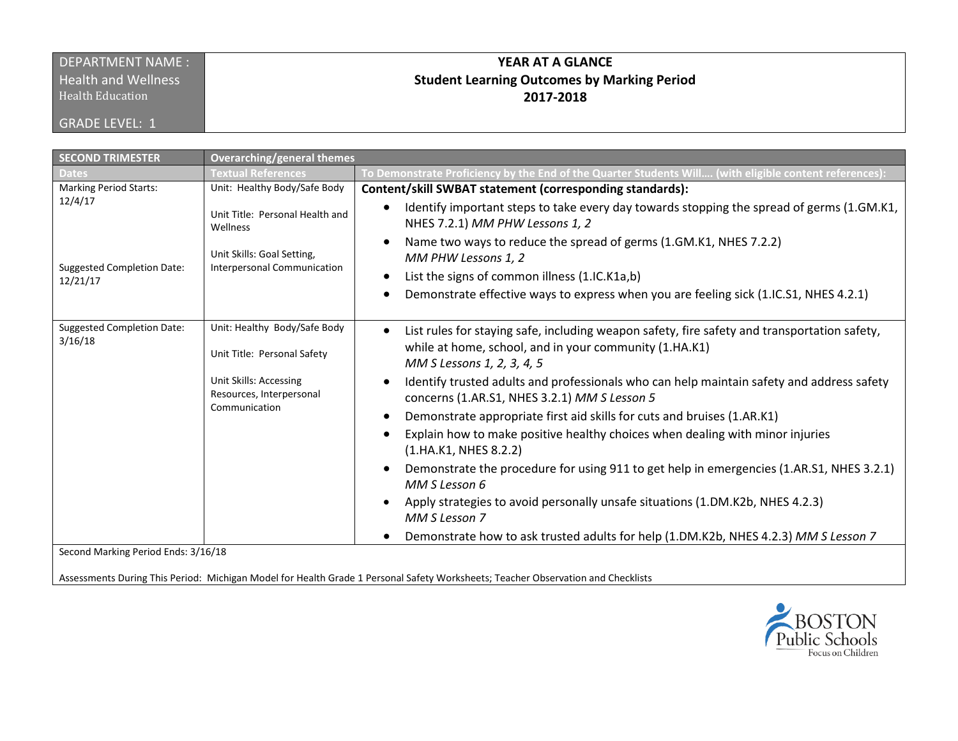#### DEPARTMENT NAME : **Health and Wellness**

Health Education

GRADE LEVEL: 1

## **YEAR AT A GLANCE Student Learning Outcomes by Marking Period 2017-2018**

| <b>SECOND TRIMESTER</b><br><b>Overarching/general themes</b><br>To Demonstrate Proficiency by the End of the Quarter Students Will (with eligible content references):<br>Textual References<br><b>Marking Period Starts:</b><br>Unit: Healthy Body/Safe Body<br>Content/skill SWBAT statement (corresponding standards):<br>12/4/17<br>Identify important steps to take every day towards stopping the spread of germs (1.GM.K1,<br>$\bullet$<br>Unit Title: Personal Health and<br>NHES 7.2.1) MM PHW Lessons 1, 2<br>Wellness<br>Name two ways to reduce the spread of germs (1.GM.K1, NHES 7.2.2)<br>Unit Skills: Goal Setting,<br>MM PHW Lessons 1, 2<br><b>Suggested Completion Date:</b><br>Interpersonal Communication<br>List the signs of common illness (1.IC.K1a,b)<br>12/21/17<br>Demonstrate effective ways to express when you are feeling sick (1.IC.S1, NHES 4.2.1)                                                                     |
|----------------------------------------------------------------------------------------------------------------------------------------------------------------------------------------------------------------------------------------------------------------------------------------------------------------------------------------------------------------------------------------------------------------------------------------------------------------------------------------------------------------------------------------------------------------------------------------------------------------------------------------------------------------------------------------------------------------------------------------------------------------------------------------------------------------------------------------------------------------------------------------------------------------------------------------------------------|
|                                                                                                                                                                                                                                                                                                                                                                                                                                                                                                                                                                                                                                                                                                                                                                                                                                                                                                                                                          |
|                                                                                                                                                                                                                                                                                                                                                                                                                                                                                                                                                                                                                                                                                                                                                                                                                                                                                                                                                          |
|                                                                                                                                                                                                                                                                                                                                                                                                                                                                                                                                                                                                                                                                                                                                                                                                                                                                                                                                                          |
|                                                                                                                                                                                                                                                                                                                                                                                                                                                                                                                                                                                                                                                                                                                                                                                                                                                                                                                                                          |
|                                                                                                                                                                                                                                                                                                                                                                                                                                                                                                                                                                                                                                                                                                                                                                                                                                                                                                                                                          |
|                                                                                                                                                                                                                                                                                                                                                                                                                                                                                                                                                                                                                                                                                                                                                                                                                                                                                                                                                          |
|                                                                                                                                                                                                                                                                                                                                                                                                                                                                                                                                                                                                                                                                                                                                                                                                                                                                                                                                                          |
| Unit: Healthy Body/Safe Body<br><b>Suggested Completion Date:</b><br>List rules for staying safe, including weapon safety, fire safety and transportation safety,<br>$\bullet$<br>3/16/18<br>while at home, school, and in your community (1.HA.K1)<br>Unit Title: Personal Safety<br>MM S Lessons 1, 2, 3, 4, 5<br><b>Unit Skills: Accessing</b><br>Identify trusted adults and professionals who can help maintain safety and address safety<br>Resources, Interpersonal<br>concerns (1.AR.S1, NHES 3.2.1) MM S Lesson 5<br>Communication<br>Demonstrate appropriate first aid skills for cuts and bruises (1.AR.K1)<br>Explain how to make positive healthy choices when dealing with minor injuries<br>$\bullet$<br>(1.HA.K1, NHES 8.2.2)<br>Demonstrate the procedure for using 911 to get help in emergencies (1.AR.S1, NHES 3.2.1)<br>$\bullet$<br>MM S Lesson 6<br>Apply strategies to avoid personally unsafe situations (1.DM.K2b, NHES 4.2.3) |
| MM S Lesson 7<br>Demonstrate how to ask trusted adults for help (1.DM.K2b, NHES 4.2.3) MM S Lesson 7<br>Second Marking Period Ends: 3/16/18                                                                                                                                                                                                                                                                                                                                                                                                                                                                                                                                                                                                                                                                                                                                                                                                              |

Assessments During This Period: Michigan Model for Health Grade 1 Personal Safety Worksheets; Teacher Observation and Checklists